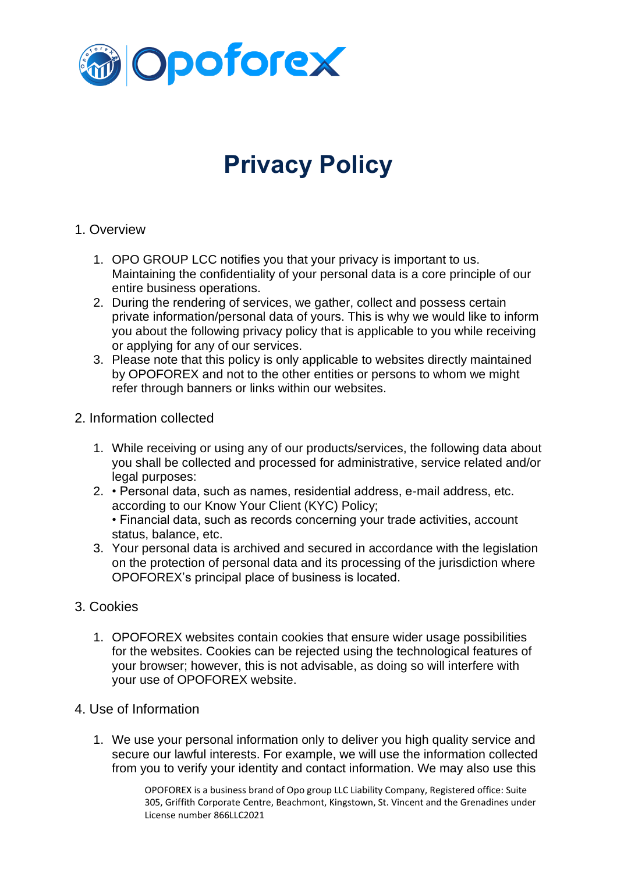

# **Privacy Policy**

## 1. Overview

- 1. OPO GROUP LCC notifies you that your privacy is important to us. Maintaining the confidentiality of your personal data is a core principle of our entire business operations.
- 2. During the rendering of services, we gather, collect and possess certain private information/personal data of yours. This is why we would like to inform you about the following privacy policy that is applicable to you while receiving or applying for any of our services.
- 3. Please note that this policy is only applicable to websites directly maintained by OPOFOREX and not to the other entities or persons to whom we might refer through banners or links within our websites.

#### 2. Information collected

- 1. While receiving or using any of our products/services, the following data about you shall be collected and processed for administrative, service related and/or legal purposes:
- 2. Personal data, such as names, residential address, e-mail address, etc. according to our Know Your Client (KYC) Policy; • Financial data, such as records concerning your trade activities, account status, balance, etc.
- 3. Your personal data is archived and secured in accordance with the legislation on the protection of personal data and its processing of the jurisdiction where OPOFOREX's principal place of business is located.

## 3. Cookies

- 1. OPOFOREX websites contain cookies that ensure wider usage possibilities for the websites. Cookies can be rejected using the technological features of your browser; however, this is not advisable, as doing so will interfere with your use of OPOFOREX website.
- 4. Use of Information
	- 1. We use your personal information only to deliver you high quality service and secure our lawful interests. For example, we will use the information collected from you to verify your identity and contact information. We may also use this

OPOFOREX is a business brand of Opo group LLC Liability Company, Registered office: Suite 305, Griffith Corporate Centre, Beachmont, Kingstown, St. Vincent and the Grenadines under License number 866LLC2021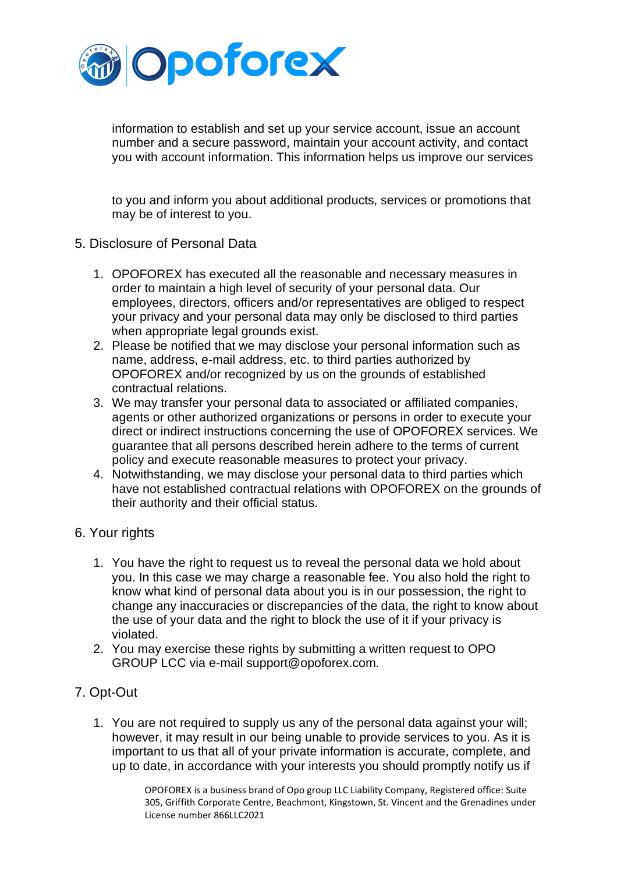

information to establish and set up your service account, issue an account number and a secure password, maintain your account activity, and contact you with account information. This information helps us improve our services

to you and inform you about additional products, services or promotions that may be of interest to you.

- 5. Disclosure of Personal Data
	- 1. OPOFOREX has executed all the reasonable and necessary measures in order to maintain a high level of security of your personal data. Our employees, directors, officers and/or representatives are obliged to respect your privacy and your personal data may only be disclosed to third parties when appropriate legal grounds exist.
	- 2. Please be notified that we may disclose your personal information such as name, address, e-mail address, etc. to third parties authorized by OPOFOREX and/or recognized by us on the grounds of established contractual relations.
	- 3. We may transfer your personal data to associated or affiliated companies, agents or other authorized organizations or persons in order to execute your direct or indirect instructions concerning the use of OPOFOREX services. We guarantee that all persons described herein adhere to the terms of current policy and execute reasonable measures to protect your privacy.
	- 4. Notwithstanding, we may disclose your personal data to third parties which have not established contractual relations with OPOFOREX on the grounds of their authority and their official status.
- 6. Your rights
	- 1. You have the right to request us to reveal the personal data we hold about you. In this case we may charge a reasonable fee. You also hold the right to know what kind of personal data about you is in our possession, the right to change any inaccuracies or discrepancies of the data, the right to know about the use of your data and the right to block the use of it if your privacy is violated.
	- 2. You may exercise these rights by submitting a written request to OPO GROUP LCC via e-mail support@opoforex.com.

# 7. Opt-Out

1. You are not required to supply us any of the personal data against your will; however, it may result in our being unable to provide services to you. As it is important to us that all of your private information is accurate, complete, and up to date, in accordance with your interests you should promptly notify us if

> OPOFOREX is a business brand of Opo group LLC Liability Company, Registered office: Suite 305, Griffith Corporate Centre, Beachmont, Kingstown, St. Vincent and the Grenadines under License number 866LLC2021